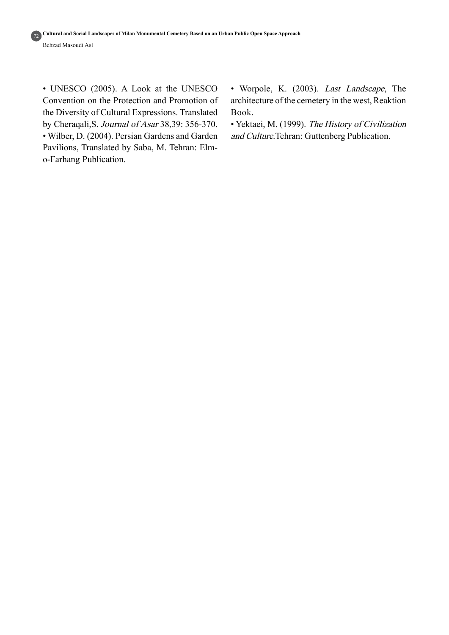• UNESCO (2005). A Look at the UNESCO Convention on the Protection and Promotion of the Diversity of Cultural Expressions. Translated by Cheraqali, S. Journal of Asar 38,39: 356-370. • Wilber, D. (2004). Persian Gardens and Garden Pavilions, Translated by Saba, M. Tehran: Elm-<br>o-Farhang Publication.

• Worpole, K. (2003). Last Landscape, The architecture of the cemetery in the west, Reaktion Book.

• Yektaei, M. (1999). The History of Civilization and Culture.Tehran: Guttenberg Publication.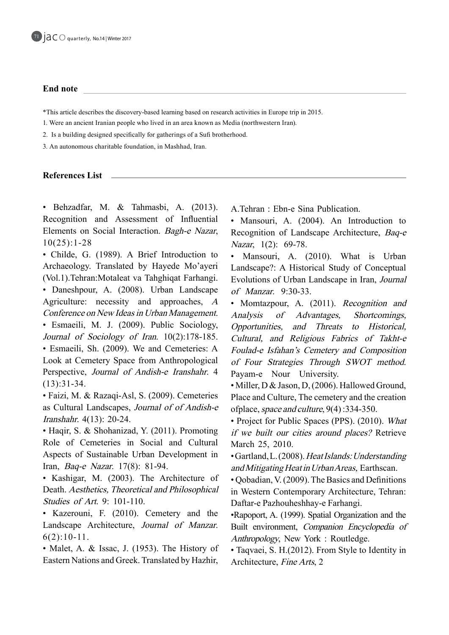#### **End** note

<sup>\*</sup>This article describes the discovery-based learning based on research activities in Europe trip in 2015.

- 1. Were an ancient Iranian people who lived in an area known as Media (northwestern Iran).
- 2. Is a building designed specifically for gatherings of a Sufi brotherhood.

3. An autonomous charitable foundation, in Mashhad, Iran.

#### **References** List

· Behzadfar, M. & Tahmasbi, A. (2013). Recognition and Assessment of Influential Elements on Social Interaction. Bagh-e Nazar,  $10(25):1-28$ 

• Childe, G. (1989). A Brief Introduction to Archaeology. Translated by Hayede Mo'ayeri (Vol.1).Tehran:Motaleat va Tahghiqat Farhangi. • Daneshpour, A. (2008). Urban Landscape Agriculture: necessity and approaches,  $\overline{A}$ 

Conference on New Ideas in Urban Management. • Esmaeili, M. J. (2009). Public Sociology, Journal of Sociology of Iran.  $10(2)$ :178-185. • Esmaeili, Sh. (2009). We and Cemeteries: A Look at Cemetery Space from Anthropological Perspective, Journal of Andish-e-Iranshahr. 4  $(13):31-34.$ 

• Faizi, M. & Razaqi-Asl, S. (2009). Cemeteries as Cultural Landscapes, Journal of of Andish-e *Iranshahr.*  $4(13)$ : 20-24.

• Haqir, S. & Shohanizad, Y. (2011). Promoting Role of Cemeteries in Social and Cultural Aspects of Sustainable Urban Development in Iran, *Baq-e Nazar*. 17(8): 81-94.

• Kashigar, M. (2003). The Architecture of Death. Aesthetics, Theoretical and Philosophical Studies of Art. 9: 101-110.

• Kazerouni, F. (2010). Cemetery and the Landscape Architecture, Journal of Manzar.  $6(2):10-11$ .

• Malet, A. & Issac, J. (1953). The History of Eastern Nations and Greek. Translated by Hazhir,

A.Tehran: Ebn-e Sina Publication.

• Mansouri, A. (2004). An Introduction to Recognition of Landscape Architecture, Baq-e Nazar,  $1(2)$ : 69-78.

• Mansouri, A. (2010). What is Urban Landscape?: A Historical Study of Conceptual Evolutions of Urban Landscape in Iran, Journal of Manzar. 9:30-33.

• Momtazpour, A. (2011). Recognition and Analysis of Advantages, Shortcomings, Opportunities, and Threats to Historical, Cultural, and Religious Fabrics of Takht-e Foulad-e Isfahan's Cemetery and Composition of Four Strategies Through SWOT method. Payam-e Nour University.

• Miller, D & Jason, D, (2006). Hallowed Ground, Place and Culture, The cemetery and the creation of place, space and culture,  $9(4)$ : 334-350.

• Project for Public Spaces (PPS). (2010). What if we built our cities around places? Retrieve March 25, 2010.

Gartland, L. (2008). Heat Islands: Understanding and Mitigating Heat in Urban Areas, Earthscan.

 $\cdot$  Qobadian, V. (2009). The Basics and Definitions in Western Contemporary Architecture, Tehran: Daftar-e Pazhouheshhay-e Farhangi.

•Rapoport, A. (1999). Spatial Organization and the Built environment, Companion Encyclopedia of Anthropology, New York : Routledge.

• Taqvaei, S. H. (2012). From Style to Identity in Architecture, *Fine Arts*, 2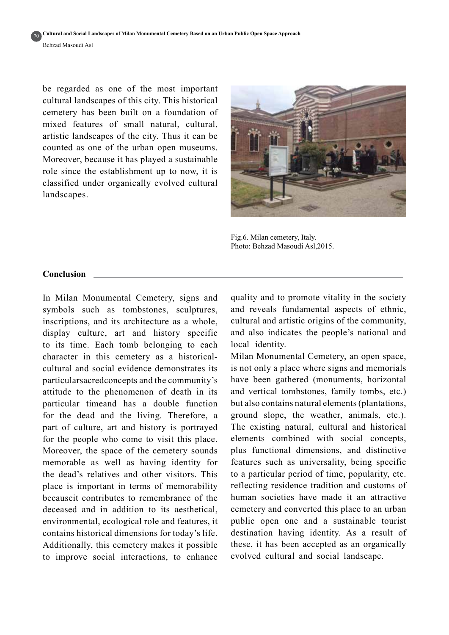Cultural and Social Landscapes of Milan Monumental Cemetery Based on an Urban Public Open Space Approach **Behzad Masoudi Asl** 701

be regarded as one of the most important cultural landscapes of this city. This historical cemetery has been built on a foundation of mixed features of small natural, cultural, artistic landscapes of the city. Thus it can be counted as one of the urban open museums. Moreover, because it has played a sustainable role since the establishment up to now, it is classified under organically evolved cultural landscapes.



Fig.6. Milan cemetery, Italy. Photo: Behzad Masoudi Asl, 2015.

#### **Conclusion**

In Milan Monumental Cemetery, signs and symbols such as tombstones, sculptures, inscriptions, and its architecture as a whole, display culture, art and history specific to its time. Each tomb belonging to each character in this cemetery as a historical-<br>cultural and social evidence demonstrates its particularsacredconcepts and the community's attitude to the phenomenon of death in its particular timeand has a double function for the dead and the living. Therefore, a part of culture, art and history is portrayed for the people who come to visit this place. Moreover, the space of the cemetery sounds memorable as well as having identity for the dead's relatives and other visitors. This place is important in terms of memorability becauseit contributes to remembrance of the deceased and in addition to its aesthetical. environmental, ecological role and features, it contains historical dimensions for today's life. Additionally, this cemetery makes it possible to improve social interactions, to enhance quality and to promote vitality in the society and reveals fundamental aspects of ethnic, cultural and artistic origins of the community, and also indicates the people's national and local identity.

Milan Monumental Cemetery, an open space, is not only a place where signs and memorials have been gathered (monuments, horizontal and vertical tombstones, family tombs, etc.) but also contains natural elements (plantations, ground slope, the weather, animals, etc.). The existing natural, cultural and historical elements combined with social concepts, plus functional dimensions, and distinctive features such as universality, being specific to a particular period of time, popularity, etc. reflecting residence tradition and customs of human societies have made it an attractive cemetery and converted this place to an urban public open one and a sustainable tourist destination having identity. As a result of these, it has been accepted as an organically evolved cultural and social landscape.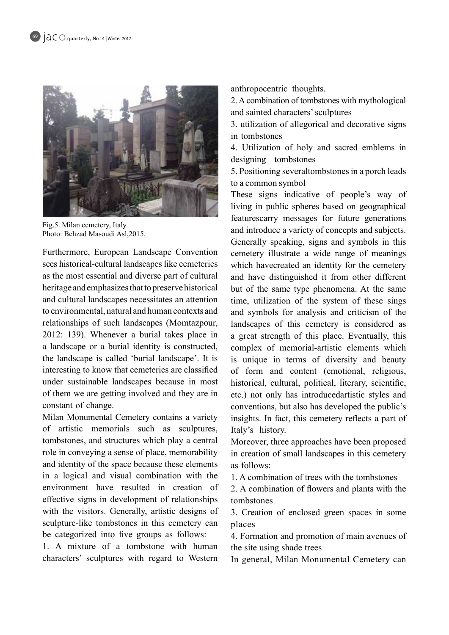

Fig.5. Milan cemetery, Italy. Photo: Behzad Masoudi Asl, 2015.

Furthermore, European Landscape Convention sees historical-cultural landscapes like cemeteries as the most essential and diverse part of cultural heritage and emphasizes that to preserve historical and cultural landscapes necessitates an attention to environmental, natural and human contexts and relationships of such landscapes (Momtazpour,  $2012$ : 139). Whenever a burial takes place in a landscape or a burial identity is constructed, the landscape is called 'burial landscape'. It is interesting to know that cemeteries are classified under sustainable landscapes because in most of them we are getting involved and they are in constant of change.

Milan Monumental Cemetery contains a variety of artistic memorials such as sculptures, tombstones, and structures which play a central role in conveying a sense of place, memorability and identity of the space because these elements in a logical and visual combination with the environment have resulted in creation of effective signs in development of relationships with the visitors. Generally, artistic designs of sculpture-like tombstones in this cemetery can be categorized into five groups as follows:

1. A mixture of a tombstone with human characters' sculptures with regard to Western anthropocentric thoughts.

2. A combination of tombstones with mythological and sainted characters' sculptures

3. utilization of allegorical and decorative signs in tombstones

4. Utilization of holy and sacred emblems in designing tombstones

5. Positioning severaltombstones in a porch leads to a common symbol

These signs indicative of people's way of living in public spheres based on geographical featurescarry messages for future generations and introduce a variety of concepts and subjects. Generally speaking, signs and symbols in this cemetery illustrate a wide range of meanings which havecreated an identity for the cemetery and have distinguished it from other different but of the same type phenomena. At the same time, utilization of the system of these sings and symbols for analysis and criticism of the landscapes of this cemetery is considered as a great strength of this place. Eventually, this complex of memorial-artistic elements which is unique in terms of diversity and beauty of form and content (emotional, religious, historical, cultural, political, literary, scientific, etc.) not only has introducedartistic styles and conventions, but also has developed the public's insights. In fact, this cemetery reflects a part of Italy's history.

Moreover, three approaches have been proposed in creation of small landscapes in this cemetery as follows:

1. A combination of trees with the tombstones

2. A combination of flowers and plants with the tombstones

3. Creation of enclosed green spaces in some places

4. Formation and promotion of main avenues of the site using shade trees

In general, Milan Monumental Cemetery can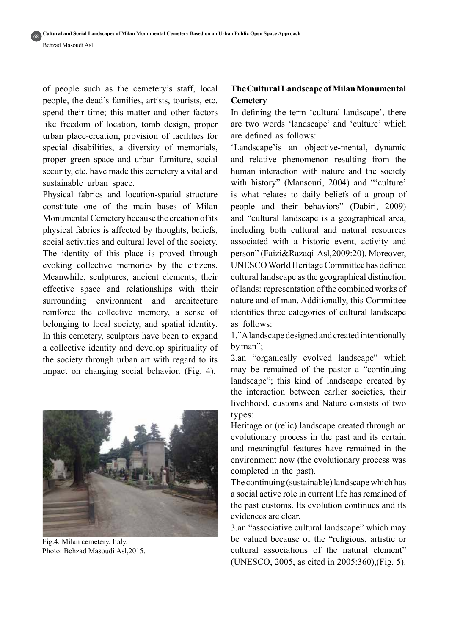of people such as the cemetery's staff, local people, the dead's families, artists, tourists, etc. spend their time; this matter and other factors like freedom of location, tomb design, proper urban place-creation, provision of facilities for special disabilities, a diversity of memorials, proper green space and urban furniture, social security, etc. have made this cemetery a vital and sustainable urban space.

Physical fabrics and location-spatial structure constitute one of the main bases of Milan Monumental Cemetery because the creation of its physical fabrics is affected by thoughts, beliefs, social activities and cultural level of the society. The identity of this place is proved through evoking collective memories by the citizens. Meanwhile, sculptures, ancient elements, their effective space and relationships with their surrounding environment and architecture reinforce the collective memory, a sense of belonging to local society, and spatial identity. In this cemetery, sculptors have been to expand a collective identity and develop spirituality of the society through urban art with regard to its impact on changing social behavior. (Fig. 4).



Fig.4. Milan cemetery, Italy. Photo: Behzad Masoudi Asl, 2015.

# **The Cultural Landscape of Milan Monumental Cemetery**

In defining the term 'cultural landscape', there are two words 'landscape' and 'culture' which are defined as follows:

'Landscape' is an objective-mental, dynamic and relative phenomenon resulting from the human interaction with nature and the society with history" (Mansouri, 2004) and ""culture" is what relates to daily beliefs of a group of people and their behaviors" (Dabiri, 2009) and "cultural landscape is a geographical area, including both cultural and natural resources associated with a historic event, activity and person" (Faizi&Razaqi-Asl,2009:20). Moreover. UNESCO World Heritage Committee has defined cultural landscape as the geographical distinction of lands: representation of the combined works of nature and of man. Additionally, this Committee identifies three categories of cultural landscape as follows:

1." A landscape designed and created intentionally by man":

2.an "organically evolved landscape" which may be remained of the pastor a "continuing" landscape"; this kind of landscape created by the interaction between earlier societies, their livelihood, customs and Nature consists of two types:

Heritage or (relic) landscape created through an evolutionary process in the past and its certain and meaningful features have remained in the environment now (the evolutionary process was completed in the past).

The continuing (sustainable) landscape which has a social active role in current life has remained of the past customs. Its evolution continues and its evidences are clear

3.an "associative cultural landscape" which may be valued because of the "religious, artistic or cultural associations of the natural element" (UNESCO, 2005, as cited in 2005:360), (Fig. 5).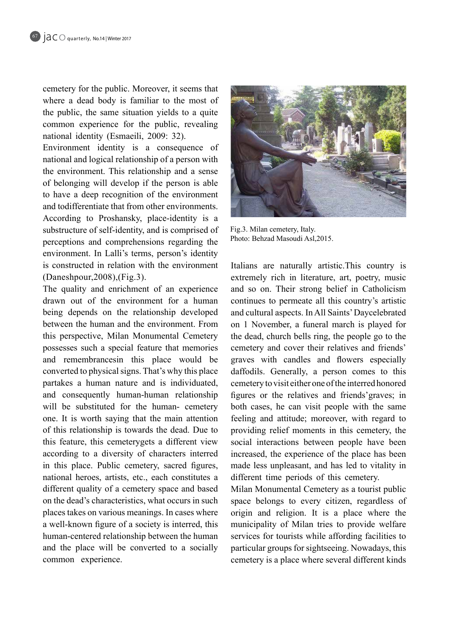cemetery for the public. Moreover, it seems that where a dead body is familiar to the most of the public, the same situation vields to a quite common experience for the public, revealing national identity (Esmaeili, 2009: 32).

Environment identity is a consequence of national and logical relationship of a person with the environment. This relationship and a sense of belonging will develop if the person is able to have a deep recognition of the environment and todifferentiate that from other environments. According to Proshansky, place-identity is a substructure of self-identity, and is comprised of perceptions and comprehensions regarding the environment. In Lalli's terms, person's identity is constructed in relation with the environment  $(Daneshpour,2008)$ ,  $(Fig.3)$ .

The quality and enrichment of an experience drawn out of the environment for a human being depends on the relationship developed between the human and the environment. From this perspective, Milan Monumental Cemetery possesses such a special feature that memories and remembrancesin this place would be converted to physical signs. That's why this place partakes a human nature and is individuated, and consequently human-human relationship will be substituted for the human- cemetery one. It is worth saying that the main attention of this relationship is towards the dead. Due to this feature, this cemeterygets a different view according to a diversity of characters interred in this place. Public cemetery, sacred figures, national heroes, artists, etc., each constitutes a different quality of a cemetery space and based on the dead's characteristics, what occurs in such places takes on various meanings. In cases where a well-known figure of a society is interred, this human-centered relationship between the human and the place will be converted to a socially common experience.



Fig.3. Milan cemetery, Italy. Photo: Behzad Masoudi Asl, 2015.

Italians are naturally artistic. This country is extremely rich in literature, art, poetry, music and so on. Their strong belief in Catholicism continues to permeate all this country's artistic and cultural aspects. In All Saints' Daycelebrated on 1 November, a funeral march is played for the dead, church bells ring, the people go to the cemetery and cover their relatives and friends' graves with candles and flowers especially daffodils. Generally, a person comes to this cemetery to visit either one of the interred honored figures or the relatives and friends' graves; in both cases, he can visit people with the same feeling and attitude; moreover, with regard to providing relief moments in this cemetery, the social interactions between people have been increased, the experience of the place has been made less unpleasant, and has led to vitality in different time periods of this cemetery.

Milan Monumental Cemetery as a tourist public space belongs to every citizen, regardless of origin and religion. It is a place where the municipality of Milan tries to provide welfare services for tourists while affording facilities to particular groups for sightseeing. Nowadays, this cemetery is a place where several different kinds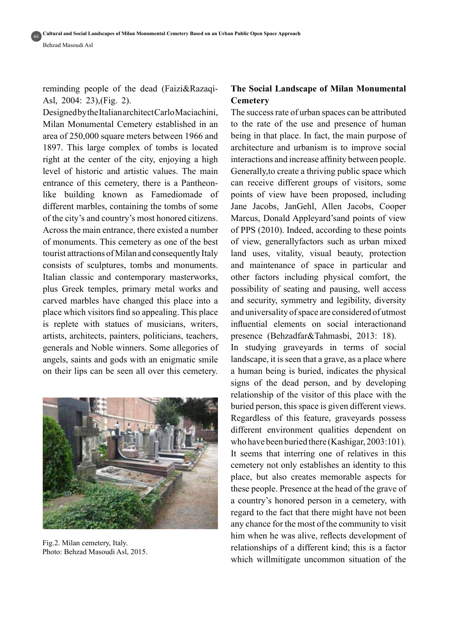# reminding people of the dead (Faizi&Razaqi-<br>Asl, 2004: 23),(Fig. 2).

Designed by the Italian architect Carlo Maciachini, Milan Monumental Cemetery established in an area of 250,000 square meters between 1966 and 1897. This large complex of tombs is located right at the center of the city, enjoying a high level of historic and artistic values. The main like building known as Famediomade of entrance of this cemetery, there is a Pantheondifferent marbles, containing the tombs of some of the city's and country's most honored citizens. Across the main entrance, there existed a number of monuments. This cemetery as one of the best tourist attractions of Milan and consequently Italy consists of sculptures, tombs and monuments. Italian classic and contemporary masterworks, plus Greek temples, primary metal works and carved marbles have changed this place into a place which visitors find so appealing. This place is replete with statues of musicians, writers, artists, architects, painters, politicians, teachers, generals and Noble winners. Some allegories of angels, saints and gods with an enigmatic smile on their lips can be seen all over this cemetery.



Fig.2. Milan cemetery, Italy. Photo: Behzad Masoudi Asl, 2015.

## **The Social Landscape of Milan Monumental Cemetery**

The success rate of urban spaces can be attributed to the rate of the use and presence of human being in that place. In fact, the main purpose of architecture and urbanism is to improve social interactions and increase affinity between people. Generally, to create a thriving public space which can receive different groups of visitors, some points of view have been proposed, including Jane Jacobs, JanGehl, Allen Jacobs, Cooper Marcus, Donald Appleyard's and points of view of PPS  $(2010)$ . Indeed, according to these points of view, generallyfactors such as urban mixed land uses, vitality, visual beauty, protection and maintenance of space in particular and other factors including physical comfort, the possibility of seating and pausing, well access and security, symmetry and legibility, diversity and universality of space are considered of utmost influential elements on social interactionand presence (Behzadfar&Tahmasbi, 2013: 18).

In studying graveyards in terms of social landscape, it is seen that a grave, as a place where a human being is buried, indicates the physical signs of the dead person, and by developing relationship of the visitor of this place with the buried person, this space is given different views. Regardless of this feature, graveyards possess different environment qualities dependent on who have been buried there (Kashigar,  $2003:101$ ). It seems that interring one of relatives in this cemetery not only establishes an identity to this place, but also creates memorable aspects for these people. Presence at the head of the grave of a country's honored person in a cemetery, with regard to the fact that there might have not been any chance for the most of the community to visit him when he was alive, reflects development of relationships of a different kind; this is a factor which willmitigate uncommon situation of the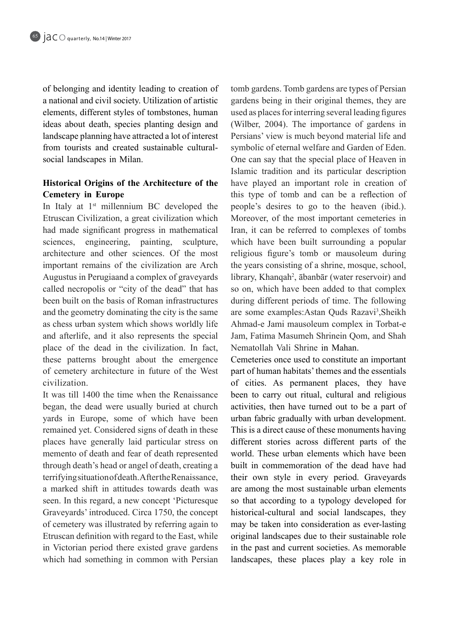of belonging and identity leading to creation of a national and civil society. Utilization of artistic elements, different styles of tombstones, human ideas about death, species planting design and landscape planning have attracted a lot of interest from tourists and created sustainable cultural-<br>social-landscapes in Milan.

### **Historical Origins of the Architecture of the Cemetery** in Europe

In Italy at  $1<sup>st</sup>$  millennium BC developed the Etruscan Civilization, a great civilization which had made significant progress in mathematical sciences, engineering, painting, sculpture, architecture and other sciences. Of the most important remains of the civilization are Arch Augustus in Perugiaand a complex of graveyards called necropolis or "city of the dead" that has been built on the basis of Roman infrastructures and the geometry dominating the city is the same as chess urban system which shows worldly life and afterlife, and it also represents the special place of the dead in the civilization. In fact, these patterns brought about the emergence of cemetery architecture in future of the West .civilization

It was till 1400 the time when the Renaissance began, the dead were usually buried at church vards in Europe, some of which have been remained yet. Considered signs of death in these places have generally laid particular stress on memento of death and fear of death represented through death's head or angel of death, creating a terrifying situation of death. After the Renaissance, a marked shift in attitudes towards death was seen. In this regard, a new concept 'Picturesque Graveyards' introduced. Circa 1750, the concept of cemetery was illustrated by referring again to Etruscan definition with regard to the East, while in Victorian period there existed grave gardens which had something in common with Persian

tomb gardens. Tomb gardens are types of Persian gardens being in their original themes, they are used as places for interring several leading figures (Wilber,  $2004$ ). The importance of gardens in Persians' view is much beyond material life and symbolic of eternal welfare and Garden of Eden. One can say that the special place of Heaven in Islamic tradition and its particular description have played an important role in creation of this type of tomb and can be a reflection of people's desires to go to the heaven (ibid.). Moreover, of the most important cemeteries in Iran, it can be referred to complexes of tombs which have been built surrounding a popular religious figure's tomb or mausoleum during the years consisting of a shrine, mosque, school, library, Khanqah<sup>2</sup>, ābanbār (water reservoir) and so on, which have been added to that complex during different periods of time. The following are some examples: Astan Quds Razavi<sup>3</sup>, Sheikh Ahmad-e Jami mausoleum complex in Torbat-e Jam. Fatima Masumeh Shrinein Oom, and Shah Nematollah Vali Shrine in Mahan.

Cemeteries once used to constitute an important part of human habitats' themes and the essentials of cities. As permanent places, they have been to carry out ritual, cultural and religious activities, then have turned out to be a part of urban fabric gradually with urban development. This is a direct cause of these monuments having different stories across different parts of the world. These urban elements which have been built in commemoration of the dead have had their own style in every period. Graveyards are among the most sustainable urban elements so that according to a typology developed for historical-cultural and social landscapes, they may be taken into consideration as ever-lasting original landscapes due to their sustainable role in the past and current societies. As memorable landscapes, these places play a key role in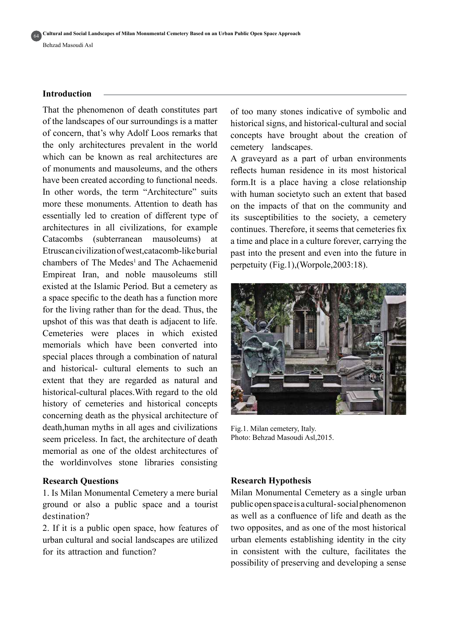#### **Introduction**

That the phenomenon of death constitutes part of the landscapes of our surroundings is a matter of concern, that's why Adolf Loos remarks that the only architectures prevalent in the world which can be known as real architectures are of monuments and mausoleums, and the others have been created according to functional needs. In other words, the term "Architecture" suits more these monuments. Attention to death has essentially led to creation of different type of architectures in all civilizations, for example Catacombs (subterranean mausoleums) at Etruscan civilization of west catacomb-like burial chambers of The Medes<sup>1</sup> and The Achaemenid Empireat Iran, and noble mausoleums still existed at the Islamic Period. But a cemetery as a space specific to the death has a function more for the living rather than for the dead. Thus, the upshot of this was that death is adjacent to life. Cemeteries were places in which existed memorials which have been converted into special places through a combination of natural and historical- cultural elements to such an extent that they are regarded as natural and historical-cultural places. With regard to the old history of cemeteries and historical concepts concerning death as the physical architecture of death, human myths in all ages and civilizations seem priceless. In fact, the architecture of death memorial as one of the oldest architectures of the worldinvolves stone libraries consisting

#### **Research Questions**

1. Is Milan Monumental Cemetery a mere burial ground or also a public space and a tourist destination?

2. If it is a public open space, how features of urban cultural and social landscapes are utilized for its attraction and function?

of too many stones indicative of symbolic and historical signs, and historical-cultural and social concepts have brought about the creation of cemetery landscapes.

A graveyard as a part of urban environments reflects human residence in its most historical form. It is a place having a close relationship. with human societyto such an extent that based on the impacts of that on the community and its susceptibilities to the society, a cemetery continues. Therefore, it seems that cemeteries fix a time and place in a culture forever, carrying the past into the present and even into the future in perpetuity (Fig.1), (Worpole,  $2003:18$ ).



Fig.1. Milan cemetery, Italy. Photo: Behzad Masoudi Asl, 2015.

#### **Hypothesis Research**

Milan Monumental Cemetery as a single urban public open space is a cultural-social phenomenon as well as a confluence of life and death as the two opposites, and as one of the most historical urban elements establishing identity in the city in consistent with the culture, facilitates the possibility of preserving and developing a sense